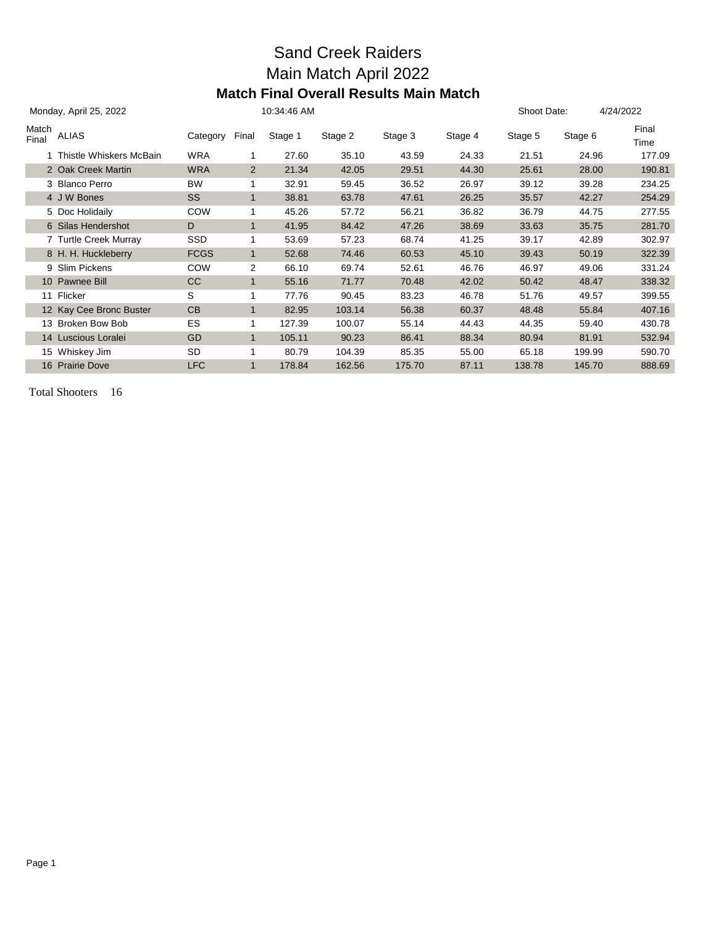#### Sand Creek Raiders Main Match April 2022 **Match Final Overall Results Main Match**

|                | Monday, April 25, 2022    | 10:34:46 AM |                |         |         |         |         |         | Shoot Date: | 4/24/2022     |  |
|----------------|---------------------------|-------------|----------------|---------|---------|---------|---------|---------|-------------|---------------|--|
| Match<br>Final | <b>ALIAS</b>              | Category    | Final          | Stage 1 | Stage 2 | Stage 3 | Stage 4 | Stage 5 | Stage 6     | Final<br>Time |  |
|                | 1 Thistle Whiskers McBain | <b>WRA</b>  | 1              | 27.60   | 35.10   | 43.59   | 24.33   | 21.51   | 24.96       | 177.09        |  |
|                | 2 Oak Creek Martin        | <b>WRA</b>  | $\overline{2}$ | 21.34   | 42.05   | 29.51   | 44.30   | 25.61   | 28.00       | 190.81        |  |
|                | 3 Blanco Perro            | <b>BW</b>   | 1              | 32.91   | 59.45   | 36.52   | 26.97   | 39.12   | 39.28       | 234.25        |  |
|                | 4 J W Bones               | SS          | $\mathbf{1}$   | 38.81   | 63.78   | 47.61   | 26.25   | 35.57   | 42.27       | 254.29        |  |
|                | 5 Doc Holidaily           | <b>COW</b>  | 1              | 45.26   | 57.72   | 56.21   | 36.82   | 36.79   | 44.75       | 277.55        |  |
|                | 6 Silas Hendershot        | D           | $\mathbf{1}$   | 41.95   | 84.42   | 47.26   | 38.69   | 33.63   | 35.75       | 281.70        |  |
|                | 7 Turtle Creek Murray     | SSD         | 1              | 53.69   | 57.23   | 68.74   | 41.25   | 39.17   | 42.89       | 302.97        |  |
|                | 8 H. H. Huckleberry       | <b>FCGS</b> | $\mathbf{1}$   | 52.68   | 74.46   | 60.53   | 45.10   | 39.43   | 50.19       | 322.39        |  |
|                | 9 Slim Pickens            | COW         | 2              | 66.10   | 69.74   | 52.61   | 46.76   | 46.97   | 49.06       | 331.24        |  |
|                | 10 Pawnee Bill            | cc          | $\blacksquare$ | 55.16   | 71.77   | 70.48   | 42.02   | 50.42   | 48.47       | 338.32        |  |
|                | 11 Flicker                | S           | 1              | 77.76   | 90.45   | 83.23   | 46.78   | 51.76   | 49.57       | 399.55        |  |
|                | 12 Kay Cee Bronc Buster   | CB          | $\mathbf{1}$   | 82.95   | 103.14  | 56.38   | 60.37   | 48.48   | 55.84       | 407.16        |  |
|                | 13 Broken Bow Bob         | ES          |                | 127.39  | 100.07  | 55.14   | 44.43   | 44.35   | 59.40       | 430.78        |  |
|                | 14 Luscious Loralei       | GD          | $\mathbf{1}$   | 105.11  | 90.23   | 86.41   | 88.34   | 80.94   | 81.91       | 532.94        |  |
|                | 15 Whiskey Jim            | SD          | 1              | 80.79   | 104.39  | 85.35   | 55.00   | 65.18   | 199.99      | 590.70        |  |
|                | 16 Prairie Dove           | <b>LFC</b>  | $\mathbf{1}$   | 178.84  | 162.56  | 175.70  | 87.11   | 138.78  | 145.70      | 888.69        |  |

Total Shooters 16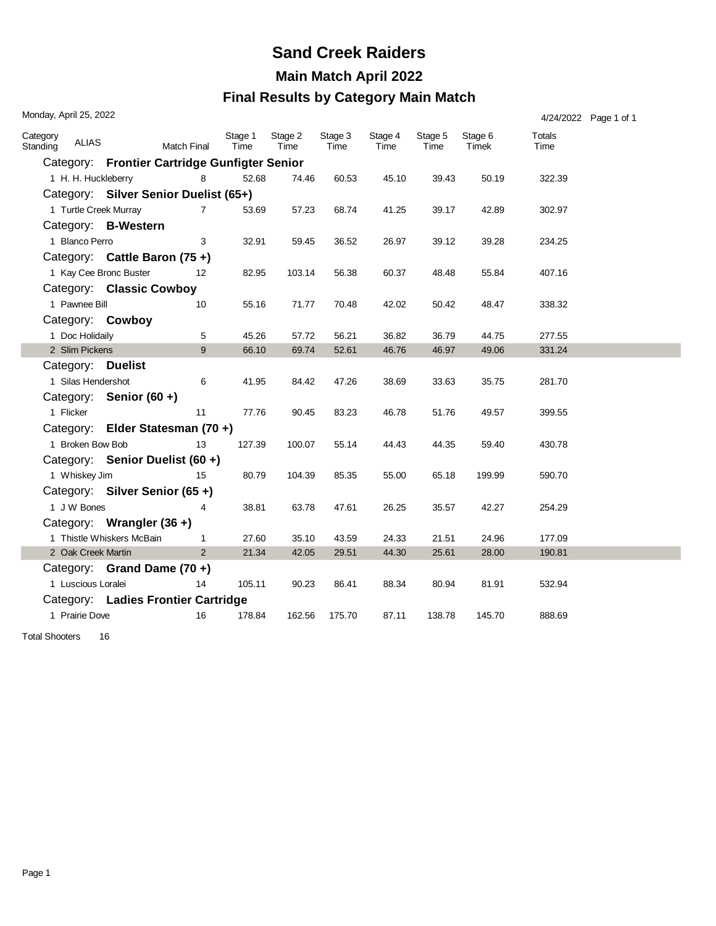# **Sand Creek Raiders**

**Main Match April 2022**

#### **Final Results by Category Main Match**

| Monday, April 25, 2022 |                       |                                               |                    |                 |                 |                 |                 |                 |                  |                | 4/24/2022 Page 1 of 1 |
|------------------------|-----------------------|-----------------------------------------------|--------------------|-----------------|-----------------|-----------------|-----------------|-----------------|------------------|----------------|-----------------------|
| Category<br>Standing   | ALIAS                 |                                               | <b>Match Final</b> | Stage 1<br>Time | Stage 2<br>Time | Stage 3<br>Time | Stage 4<br>Time | Stage 5<br>Time | Stage 6<br>Timek | Totals<br>Time |                       |
|                        |                       | Category: Frontier Cartridge Gunfigter Senior |                    |                 |                 |                 |                 |                 |                  |                |                       |
|                        | 1 H. H. Huckleberry   |                                               | 8                  | 52.68           | 74.46           | 60.53           | 45.10           | 39.43           | 50.19            | 322.39         |                       |
|                        |                       | Category: Silver Senior Duelist (65+)         |                    |                 |                 |                 |                 |                 |                  |                |                       |
|                        | 1 Turtle Creek Murray |                                               | $\overline{7}$     | 53.69           | 57.23           | 68.74           | 41.25           | 39.17           | 42.89            | 302.97         |                       |
|                        |                       | Category: B-Western                           |                    |                 |                 |                 |                 |                 |                  |                |                       |
|                        | 1 Blanco Perro        |                                               | 3                  | 32.91           | 59.45           | 36.52           | 26.97           | 39.12           | 39.28            | 234.25         |                       |
|                        |                       | Category: Cattle Baron (75+)                  |                    |                 |                 |                 |                 |                 |                  |                |                       |
|                        |                       | 1 Kay Cee Bronc Buster                        | $12 \overline{ }$  | 82.95           | 103.14          | 56.38           | 60.37           | 48.48           | 55.84            | 407.16         |                       |
|                        |                       | Category: Classic Cowboy                      |                    |                 |                 |                 |                 |                 |                  |                |                       |
|                        | 1 Pawnee Bill         |                                               | 10                 | 55.16           | 71.77           | 70.48           | 42.02           | 50.42           | 48.47            | 338.32         |                       |
|                        |                       | Category: Cowboy                              |                    |                 |                 |                 |                 |                 |                  |                |                       |
|                        | 1 Doc Holidaily       |                                               | 5                  | 45.26           | 57.72           | 56.21           | 36.82           | 36.79           | 44.75            | 277.55         |                       |
|                        | 2 Slim Pickens        |                                               | 9                  | 66.10           | 69.74           | 52.61           | 46.76           | 46.97           | 49.06            | 331.24         |                       |
|                        |                       | Category: Duelist                             |                    |                 |                 |                 |                 |                 |                  |                |                       |
|                        | 1 Silas Hendershot    |                                               | 6                  | 41.95           | 84.42           | 47.26           | 38.69           | 33.63           | 35.75            | 281.70         |                       |
|                        |                       | Category: Senior (60 +)                       |                    |                 |                 |                 |                 |                 |                  |                |                       |
|                        | 1 Flicker             |                                               | 11                 | 77.76           | 90.45           | 83.23           | 46.78           | 51.76           | 49.57            | 399.55         |                       |
|                        |                       | Category: Elder Statesman (70+)               |                    |                 |                 |                 |                 |                 |                  |                |                       |
|                        | 1 Broken Bow Bob      |                                               | 13                 | 127.39          | 100.07          | 55.14           | 44.43           | 44.35           | 59.40            | 430.78         |                       |
|                        |                       | Category: Senior Duelist (60 +)               |                    |                 |                 |                 |                 |                 |                  |                |                       |
|                        | 1 Whiskey Jim         |                                               | 15                 | 80.79           | 104.39          | 85.35           | 55.00           | 65.18           | 199.99           | 590.70         |                       |
|                        |                       | Category: Silver Senior (65+)                 |                    |                 |                 |                 |                 |                 |                  |                |                       |
|                        | 1 J W Bones           |                                               | 4                  | 38.81           | 63.78           | 47.61           | 26.25           | 35.57           | 42.27            | 254.29         |                       |
|                        |                       | Category: Wrangler (36+)                      |                    |                 |                 |                 |                 |                 |                  |                |                       |
|                        |                       | 1 Thistle Whiskers McBain                     | $\mathbf{1}$       | 27.60           | 35.10           | 43.59           | 24.33           | 21.51           | 24.96            | 177.09         |                       |
|                        | 2 Oak Creek Martin    |                                               | $\overline{2}$     | 21.34           | 42.05           | 29.51           | 44.30           | 25.61           | 28.00            | 190.81         |                       |
|                        |                       | Category: Grand Dame (70 +)                   |                    |                 |                 |                 |                 |                 |                  |                |                       |
|                        | 1 Luscious Loralei    |                                               | 14                 | 105.11          | 90.23           | 86.41           | 88.34           | 80.94           | 81.91            | 532.94         |                       |
|                        |                       | Category: Ladies Frontier Cartridge           |                    |                 |                 |                 |                 |                 |                  |                |                       |
|                        | 1 Prairie Dove        |                                               | 16                 | 178.84          | 162.56          | 175.70          | 87.11           | 138.78          | 145.70           | 888.69         |                       |

Total Shooters 16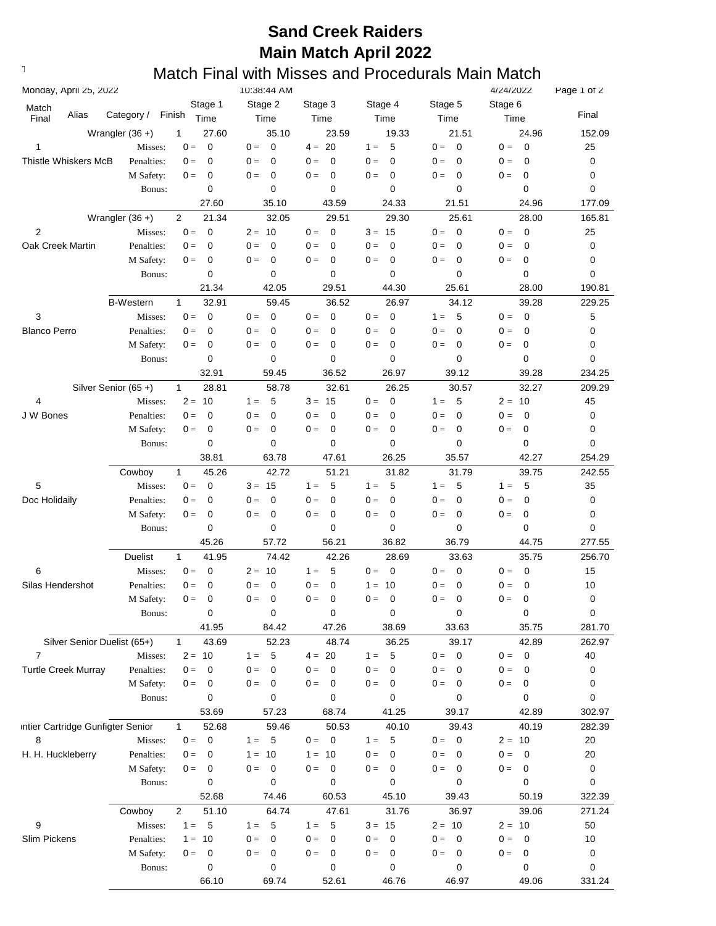### **Sand Creek Raiders Main Match April 2022**

## **Text376: Match Final with Misses and Procedurals Main Match**

| Monday, April 25, 2022            |                     |                                  | 10:38:44 AM          |                                  |                      |                                  | 4/24/2022                         | Page 1 of 2 |
|-----------------------------------|---------------------|----------------------------------|----------------------|----------------------------------|----------------------|----------------------------------|-----------------------------------|-------------|
| Match                             |                     | Stage 1                          | Stage 2              | Stage 3                          | Stage 4              | Stage 5                          | Stage 6                           |             |
| Alias<br>Final                    | Category /          | Finish<br>Time                   | Time                 | Time                             | Time                 | Time                             | Time                              | Final       |
|                                   | Wrangler $(36 +)$   | 1<br>27.60                       | 35.10                | 23.59                            | 19.33                | 21.51                            | 24.96                             | 152.09      |
| 1                                 | Misses:             | $\mathbf 0$<br>$0 =$             | $\mathbf 0$<br>$0 =$ | $4 = 20$                         | 5<br>$1 =$           | $\mathbf 0$<br>$0 =$             | $\overline{\mathbf{0}}$<br>$0 =$  | 25          |
| <b>Thistle Whiskers McB</b>       | Penalties:          | $\mathbf 0$<br>$0 =$             | $0 =$<br>0           | $\mathbf 0$<br>$0 =$             | $0 =$<br>0           | $0 =$<br>$\mathbf 0$             | $0 =$<br>$\mathbf 0$              | 0           |
|                                   | M Safety:           | 0<br>$0 =$                       | 0<br>$0 =$           | 0<br>$0 =$                       | $0 =$<br>0           | $\mathbf 0$<br>$0 =$             | 0<br>$0 =$                        | 0           |
|                                   | Bonus:              | 0                                | 0                    | 0                                | $\mathbf 0$          | 0                                | 0                                 | 0           |
|                                   |                     | 27.60                            | 35.10                | 43.59                            | 24.33                | 21.51                            | 24.96                             | 177.09      |
|                                   | Wrangler $(36 +)$   | 2<br>21.34                       | 32.05                | 29.51                            | 29.30                | 25.61                            | 28.00                             | 165.81      |
| $\overline{2}$                    | Misses:             | $0 =$<br>$\mathbf 0$             | 10<br>$2 =$          | $\mathbf 0$<br>$0 =$             | $3 = 15$             | $\mathbf 0$<br>$0 =$             | $\overline{0}$<br>$0 =$           | 25          |
| Oak Creek Martin                  | Penalties:          | $\mathbf 0$<br>$0 =$             | $\mathbf 0$<br>$0 =$ | 0<br>$0 =$                       | $\mathbf 0$<br>$0 =$ | $0 =$<br>$\mathbf 0$             | $0 =$<br>$\mathbf 0$              | 0           |
|                                   | M Safety:           | $0 =$<br>0                       | $0 =$<br>0           | $\mathbf 0$<br>$0 =$             | $0 =$<br>0           | $0 =$<br>$\mathbf 0$             | $0 =$<br>0                        | 0           |
|                                   | Bonus:              | 0                                | $\mathbf 0$          | $\mathbf 0$                      | $\mathbf 0$          | $\mathbf 0$                      | 0                                 | 0           |
|                                   |                     | 21.34                            | 42.05                | 29.51                            | 44.30                | 25.61                            | 28.00                             | 190.81      |
|                                   | <b>B-Western</b>    | $\mathbf{1}$<br>32.91            | 59.45                | 36.52                            | 26.97                | 34.12                            | 39.28                             | 229.25      |
| 3                                 | Misses:             | $0 =$<br>$\mathbf 0$             | $\mathbf 0$<br>$0 =$ | $\mathbf 0$<br>$0 =$             | $0 =$<br>$\mathbf 0$ | 5<br>$1 =$                       | $0 =$<br>$\mathbf 0$              | 5           |
| <b>Blanco Perro</b>               | Penalties:          | $\mathbf 0$<br>$0 =$             | $\mathbf 0$<br>$0 =$ | $0 =$<br>0                       | $0 =$<br>0           | $0 =$<br>$\mathbf 0$             | $0 =$<br>0                        | 0           |
|                                   | M Safety:           | $\mathbf 0$<br>$0 =$             | $\mathbf 0$<br>$0 =$ | $\mathbf 0$<br>$0 =$             | $0 =$<br>0           | $0 =$<br>0                       | $0 =$<br>0                        | 0           |
|                                   | Bonus:              | 0                                | 0                    | 0                                | 0                    | 0                                | $\mathbf 0$                       | 0           |
|                                   |                     | 32.91                            | 59.45                | 36.52                            | 26.97                | 39.12                            | 39.28                             | 234.25      |
|                                   | Silver Senior (65+) | $\mathbf{1}$<br>28.81            | 58.78                | 32.61                            | 26.25                | 30.57                            | 32.27                             | 209.29      |
| 4                                 | Misses:             | $2 = 10$                         | 5<br>$1 =$           | $3 = 15$                         | $0 =$<br>0           | $1 =$<br>5                       | $2 = 10$                          | 45          |
| J W Bones                         | Penalties:          | 0<br>$0 =$                       | $0 =$<br>$\mathbf 0$ | 0<br>$0 =$                       | 0<br>$0 =$           | $\mathbf 0$<br>$0 =$             | $\mathbf 0$<br>$0 =$              | 0           |
|                                   | M Safety:           | 0<br>$0 =$                       | $0 =$<br>0           | 0<br>$0 =$                       | $0 =$<br>$\mathbf 0$ | $0 =$<br>$\mathbf 0$             | 0<br>$0 =$                        | 0           |
|                                   | Bonus:              | 0                                | $\mathbf 0$          | $\mathbf 0$                      | $\mathbf 0$          | 0                                | $\mathbf 0$                       | 0           |
|                                   |                     | 38.81                            | 63.78                | 47.61                            | 26.25                | 35.57                            | 42.27                             | 254.29      |
|                                   | Cowboy              | $\mathbf{1}$<br>45.26            | 42.72                | 51.21                            | 31.82                | 31.79                            | 39.75                             | 242.55      |
| 5                                 | Misses:             | $0 =$<br>$\mathbf 0$             | $3 = 15$             | 5<br>$1 =$                       | 5<br>$1 =$           | 5<br>$1 =$                       | $1 =$<br>5                        | 35          |
| Doc Holidaily                     | Penalties:          | $0 =$<br>0                       | $\mathbf 0$<br>$0 =$ | $\mathbf 0$<br>$0 =$             | $\mathbf 0$<br>$0 =$ | $\mathbf 0$<br>$0 =$             | $0 =$<br>$\mathbf 0$              | 0           |
|                                   | M Safety:           | $0 =$<br>0                       | $\mathbf 0$<br>$0 =$ | $\mathbf 0$<br>$0 =$             | $0 =$<br>$\mathbf 0$ | $0 =$<br>$\mathbf 0$             | $0 =$<br>0                        | 0           |
|                                   | Bonus:              | 0                                | $\mathbf 0$          | 0                                | 0                    | $\mathbf 0$                      | 0                                 | 0           |
|                                   |                     | 45.26                            | 57.72                | 56.21                            | 36.82                | 36.79                            | 44.75                             | 277.55      |
|                                   |                     | 41.95<br>$\mathbf{1}$            | 74.42                |                                  |                      |                                  | 35.75                             |             |
|                                   | <b>Duelist</b>      | $\mathbf 0$                      |                      | 42.26                            | 28.69                | 33.63                            |                                   | 256.70      |
| 6                                 | Misses:             | $0 =$                            | $2 =$<br>10          | 5<br>$1 =$                       | $0 =$<br>0           | $0 =$<br>0                       | $\mathbf 0$<br>$0 =$              | 15          |
| Silas Hendershot                  | Penalties:          | $\mathbf 0$<br>$0 =$             | $\mathbf 0$<br>$0 =$ | $\mathbf 0$<br>$0 =$             | 10<br>$1 =$          | $\mathbf 0$<br>$0 =$             | 0<br>$0 =$                        | 10          |
|                                   | M Safety:           | 0<br>$0 =$                       | $0 =$<br>0           | $\mathbf 0$<br>$0 =$             | $\mathbf 0$<br>$0 =$ | $0 =$<br>$\mathbf 0$             | $\mathbf 0$<br>$0 =$              | 0           |
|                                   | Bonus:              | 0                                | 0                    | 0                                | 0                    | 0                                | 0                                 | 0           |
|                                   |                     | 41.95                            | 84.42                | 47.26                            | 38.69                | 33.63                            | 35.75                             | 281.70      |
| Silver Senior Duelist (65+)       |                     | 43.69<br>$\mathbf{1}$            | 52.23                | 48.74                            | 36.25                | 39.17                            | 42.89                             | 262.97      |
| $\overline{7}$                    | Misses:             | $2 = 10$                         | 5<br>$1 =$           | $4 = 20$                         | 5<br>$1 =$           | $0 = 0$                          | $\overline{\phantom{0}}$<br>$0 =$ | 40          |
| <b>Turtle Creek Murray</b>        | Penalties:          | $0 =$<br>$\mathbf 0$             | $0 =$<br>$\mathbf 0$ | $0 =$<br>$\overline{0}$          | $0 =$<br>0           | $0 =$<br>0                       | $0 =$<br>$\mathbf 0$              | 0           |
|                                   | M Safety:           | $\mathbf 0$<br>$\mathbf{0} =$    | $0 =$<br>0           | $\overline{0}$<br>$0 =$          | $0 =$<br>$\mathbf 0$ | $0 =$<br>$\overline{\mathbf{0}}$ | $\mathbf 0$<br>$0 =$              | 0           |
|                                   | Bonus:              | 0                                | 0                    | 0                                | 0                    | 0                                | 0                                 | 0           |
|                                   |                     | 53.69                            | 57.23                | 68.74                            | 41.25                | 39.17                            | 42.89                             | 302.97      |
| intier Cartridge Gunfigter Senior |                     | 52.68<br>$\mathbf{1}$            | 59.46                | 50.53                            | 40.10                | 39.43                            | 40.19                             | 282.39      |
| 8                                 | Misses:             | $\overline{0}$<br>$0 =$          | - 5<br>$1 =$         | $\overline{\mathbf{0}}$<br>$0 =$ | 5<br>$1 =$           | $\overline{\mathbf{0}}$<br>$0 =$ | $2 = 10$                          | 20          |
| H. H. Huckleberry                 | Penalties:          | $0 =$<br>0                       | 10<br>$1 =$          | $1 = 10$                         | 0<br>$0 =$           | $0 =$<br>0                       | $0 =$<br>$\overline{0}$           | 20          |
|                                   | M Safety:           | 0<br>$0 =$                       | $0 =$<br>0           | $\mathbf 0$<br>$0 =$             | $0 =$<br>0           | $0 =$<br>0                       | $0 =$<br>$\mathbf 0$              | 0           |
|                                   | Bonus:              | 0                                | 0                    | 0                                | 0                    | 0                                | 0                                 | 0           |
|                                   |                     | 52.68                            | 74.46                | 60.53                            | 45.10                | 39.43                            | 50.19                             | 322.39      |
|                                   | Cowboy              | $\overline{2}$<br>51.10          | 64.74                | 47.61                            | 31.76                | 36.97                            | 39.06                             | 271.24      |
| 9                                 | Misses:             | 5<br>$1 =$                       | - 5<br>$1 =$         | 5<br>$1 =$                       | $3 = 15$             | $2 = 10$                         | $2 = 10$                          | 50          |
| Slim Pickens                      | Penalties:          | $1 = 10$                         | $0 =$<br>0           | 0<br>$0 =$                       | $0 =$<br>0           | $0 =$<br>0                       | $0 =$<br>0                        | 10          |
|                                   | M Safety:           | $\overline{\mathbf{0}}$<br>$0 =$ | $0 =$<br>0           | $\mathbf 0$<br>$0 =$             | 0<br>$0 =$           | $0 =$<br>0                       | $\mathbf 0$<br>$0 =$              | 0           |
|                                   | Bonus:              | 0                                | 0                    | 0                                | 0                    | 0                                | 0                                 | 0           |
|                                   |                     | 66.10                            | 69.74                | 52.61                            | 46.76                | 46.97                            | 49.06                             | 331.24      |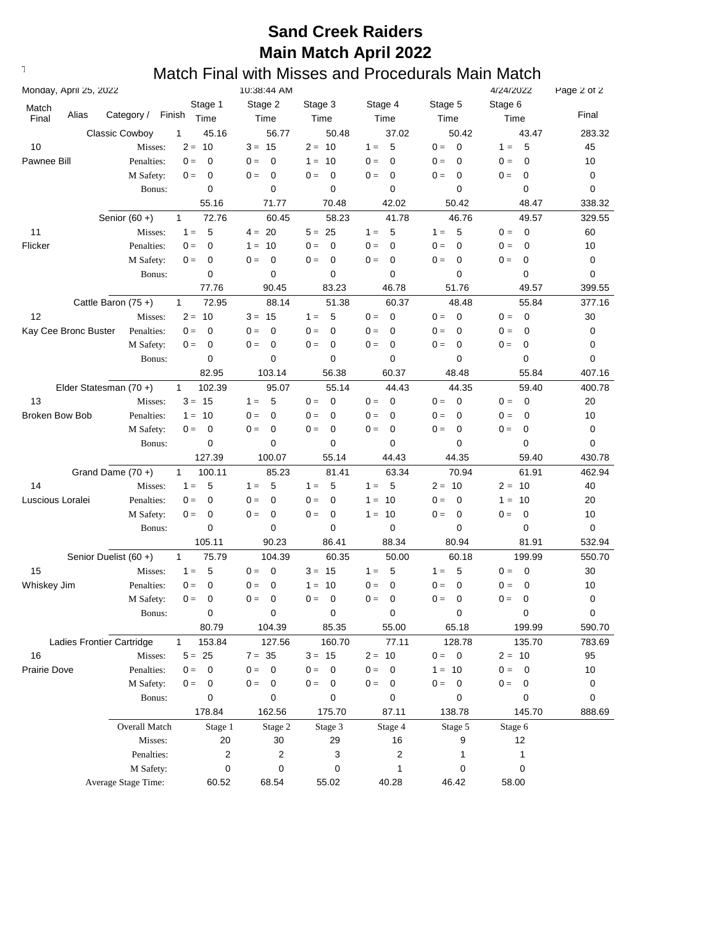### **Sand Creek Raiders Main Match April 2022**

### **Text376: Match Final with Misses and Procedurals Main Match**

| Monday, April 25, 2022 |       |                           |                        | 10:38:44 AM               |                                   |                         |                      | 4/24/2022            | Page 2 of 2 |
|------------------------|-------|---------------------------|------------------------|---------------------------|-----------------------------------|-------------------------|----------------------|----------------------|-------------|
| Match                  |       |                           | Stage 1                | Stage 2                   | Stage 3                           | Stage 4                 | Stage 5              | Stage 6              |             |
| Final                  | Alias | Category /                | Finish<br>Time         | Time                      | Time                              | Time                    | Time                 | Time                 | Final       |
|                        |       | <b>Classic Cowboy</b>     | 1<br>45.16             | 56.77                     | 50.48                             | 37.02                   | 50.42                | 43.47                | 283.32      |
| 10                     |       | Misses:                   | 10<br>$2 =$            | $3 = 15$                  | $2 = 10$                          | 5<br>$1 =$              | $0 =$<br>0           | 5<br>$1 =$           | 45          |
| Pawnee Bill            |       | Penalties:                | 0<br>$0 =$             | $0 =$<br>0                | $1 =$<br>10                       | 0<br>$0 =$              | $0 =$<br>0           | $\mathbf 0$<br>$0 =$ | 10          |
|                        |       | M Safety:                 | $0 =$<br>0             | $0 =$<br>0                | 0<br>$0 =$                        | 0<br>$0 =$              | 0<br>$0 =$           | $0 =$<br>0           | 0           |
|                        |       | Bonus:                    | 0                      | 0                         | 0                                 | 0                       | 0                    | 0                    | 0           |
|                        |       |                           | 55.16                  | 71.77                     | 70.48                             | 42.02                   | 50.42                | 48.47                | 338.32      |
|                        |       | Senior $(60 +)$           | 72.76<br>$\mathbf{1}$  | 60.45                     | 58.23                             | 41.78                   | 46.76                | 49.57                | 329.55      |
| 11                     |       | Misses:                   | 5<br>$1 =$             | $4 = 20$                  | $5 = 25$                          | 5<br>$1 =$              | $1 =$<br>5           | $0 =$<br>0           | 60          |
| Flicker                |       | Penalties:                | 0<br>$0 =$             | $1 =$<br>10               | $0 =$<br>0                        | 0<br>$0 =$              | $0 =$<br>0           | $0 =$<br>0           | 10          |
|                        |       | M Safety:                 | 0<br>$0 =$             | 0<br>$0 =$                | 0<br>$0 =$                        | 0<br>$0 =$              | 0<br>$0 =$           | 0<br>$0 =$           | 0           |
|                        |       | Bonus:                    | 0                      | 0                         | 0                                 | 0                       | 0                    | 0                    | 0           |
|                        |       |                           | 77.76                  | 90.45                     | 83.23                             | 46.78                   | 51.76                | 49.57                | 399.55      |
|                        |       | Cattle Baron (75+)        | 72.95<br>$\mathbf{1}$  | 88.14                     | 51.38                             | 60.37                   | 48.48                | 55.84                | 377.16      |
| 12                     |       | Misses:                   | $2 =$<br>10            | $3 =$<br>15               | $1 =$<br>5                        | $0 =$<br>0              | $0 =$<br>0           | $0 =$<br>$\mathbf 0$ | 30          |
| Kay Cee Bronc Buster   |       | Penalties:                | 0<br>$0 =$             | 0<br>$0 =$                | $0 =$<br>0                        | $0 =$<br>0              | $0 =$<br>0           | $\mathbf 0$<br>$0 =$ | 0           |
|                        |       | M Safety:                 | $0 =$<br>0             | 0<br>$0 =$                | $0 =$<br>0                        | 0<br>$0 =$              | 0<br>$0 =$           | 0<br>$0 =$           | 0           |
|                        |       | Bonus:                    | 0                      | 0                         | 0                                 | 0                       | 0                    | 0                    | 0           |
|                        |       |                           | 82.95                  | 103.14                    | 56.38                             | 60.37                   | 48.48                | 55.84                | 407.16      |
|                        |       | Elder Statesman (70+)     | $\mathbf{1}$<br>102.39 | 95.07                     | 55.14                             | 44.43                   | 44.35                | 59.40                | 400.78      |
| 13                     |       | Misses:                   | $3 =$<br>15            | 5<br>$1 =$                | $0 =$<br>$\mathbf 0$              | $0 =$<br>0              | $0 =$<br>0           | $\mathbf 0$<br>$0 =$ | 20          |
| <b>Broken Bow Bob</b>  |       |                           | 10<br>$1 =$            | $\mathbf 0$<br>$0 =$      | $0 =$<br>0                        | $0 =$<br>0              | $0 =$<br>$\mathbf 0$ | 0<br>$0 =$           | 10          |
|                        |       | Penalties:<br>M Safety:   | 0<br>$0 =$             | $0 =$<br>0                | $0 =$<br>0                        | $0 =$<br>0              | $0 =$<br>0           | 0<br>$0 =$           | 0           |
|                        |       |                           | 0                      | 0                         | 0                                 | 0                       | 0                    | 0                    | 0           |
|                        |       | Bonus:                    | 127.39                 | 100.07                    | 55.14                             | 44.43                   | 44.35                | 59.40                | 430.78      |
|                        |       |                           |                        |                           |                                   |                         |                      |                      |             |
|                        |       | Grand Dame $(70 +)$       | $\mathbf{1}$<br>100.11 | 85.23                     | 81.41                             | 63.34                   | 70.94                | 61.91                | 462.94      |
| 14                     |       | Misses:                   | 5<br>$1 =$             | 5<br>$1 =$                | 5<br>$1 =$                        | 5<br>$1 =$              | $2 = 10$             | $2 =$<br>10          | 40          |
| Luscious Loralei       |       | Penalties:                | 0<br>$0 =$             | $\mathbf 0$<br>$0 =$      | $\mathbf 0$<br>$0 =$              | $1 =$<br>10             | 0<br>$0 =$           | 10<br>$1 =$          | 20          |
|                        |       | M Safety:                 | 0<br>$0 =$             | 0<br>$0 =$                | $0 =$<br>0                        | $1 =$<br>-10            | 0<br>$0 =$           | $\mathbf 0$<br>$0 =$ | 10          |
|                        |       | Bonus:                    | 0                      | 0                         | 0                                 | 0                       | 0                    | 0                    | 0           |
|                        |       |                           | 105.11                 | 90.23                     | 86.41                             | 88.34                   | 80.94                | 81.91                | 532.94      |
|                        |       | Senior Duelist (60 +)     | $\mathbf{1}$<br>75.79  | 104.39                    | 60.35                             | 50.00                   | 60.18                | 199.99               | 550.70      |
| 15                     |       | Misses:                   | 5<br>$1 =$             | $0 =$<br>0                | $3 = 15$                          | 5<br>$1 =$              | 5<br>$1 =$           | $0 =$<br>0           | 30          |
| Whiskey Jim            |       | Penalties:                | $\mathbf 0$<br>$0 =$   | 0<br>$0 =$                | 10<br>$1 =$                       | $\mathbf 0$<br>$0 =$    | $\mathbf 0$<br>$0 =$ | 0<br>$0 =$           | 10          |
|                        |       | M Safety:                 | $0 =$<br>0             | $0 =$<br>0                | $0 =$<br>0                        | 0<br>$0 =$              | $0 =$<br>0           | $0 =$<br>0           | 0           |
|                        |       | Bonus:                    | $\mathbf 0$            | 0                         | 0                                 | 0                       | 0                    | 0                    | $\mathbf 0$ |
|                        |       |                           | 80.79                  | 104.39                    | 85.35                             | 55.00                   | 65.18                | 199.99               | 590.70      |
|                        |       | Ladies Frontier Cartridge | $\mathbf{1}$<br>153.84 | 127.56                    | 160.70                            | 77.11                   | 128.78               | 135.70               | 783.69      |
| 16                     |       | Misses:                   | $5 =$<br>25            | $7 = 35$                  | $3 = 15$                          | $2 = 10$                | $0 = 0$              | $2 = 10$             | 95          |
| Prairie Dove           |       | Penalties:                | $\mathbf 0$<br>$0 =$   | $\mathbf 0$<br>$0 =$      | $\mathbf{0} =$<br>$\mathbf 0$     | $0 =$<br>$\overline{0}$ | $1 = 10$             | $0 =$<br>0           | 10          |
|                        |       | M Safety:                 | $\mathbf 0$<br>$0 =$   | $\boldsymbol{0}$<br>$0 =$ | $\overline{\phantom{0}}$<br>$0 =$ | $0 = 0$                 | $0 = 0$              | $0 = 0$              | 0           |
|                        |       | Bonus:                    | 0                      | 0                         | 0                                 | 0                       | 0                    | 0                    | 0           |
|                        |       |                           | 178.84                 | 162.56                    | 175.70                            | 87.11                   | 138.78               | 145.70               | 888.69      |
|                        |       | Overall Match             | Stage 1                | Stage 2                   | Stage 3                           | Stage 4                 | Stage 5              | Stage 6              |             |
|                        |       | Misses:                   | 20                     | 30                        | 29                                | 16                      | 9                    | 12                   |             |
|                        |       | Penalties:                | 2                      | 2                         | 3                                 | 2                       | 1                    | 1                    |             |
|                        |       | M Safety:                 | 0                      | 0                         | 0                                 | 1                       | 0                    | 0                    |             |
|                        |       | Average Stage Time:       | 60.52                  | 68.54                     | 55.02                             | 40.28                   | 46.42                | 58.00                |             |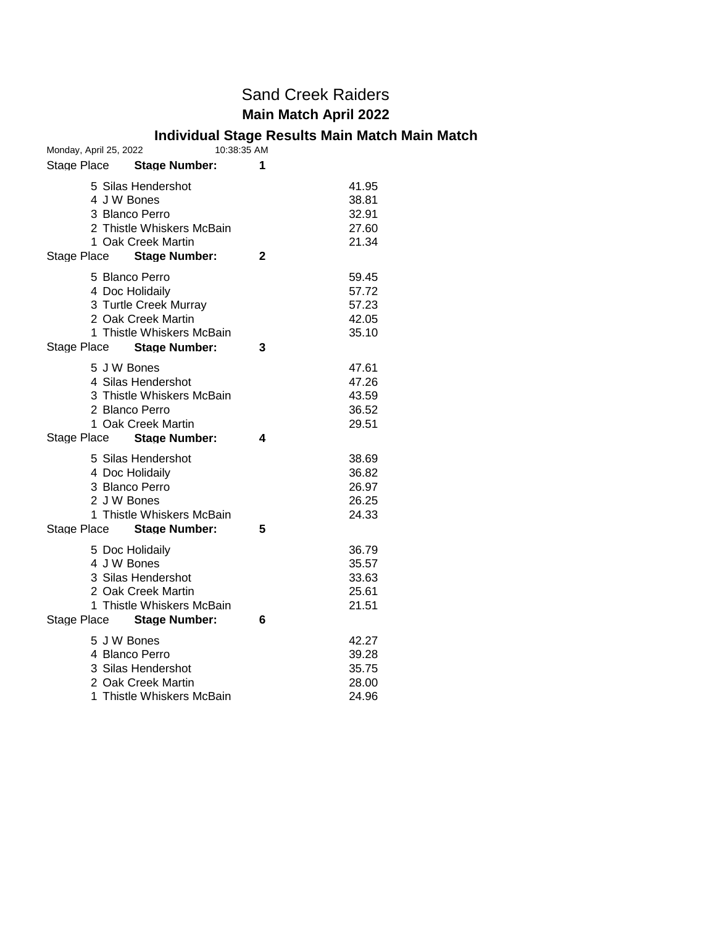#### Sand Creek Raiders **Main Match April 2022**

#### **Individual Stage Results Main Match Main Match**

| Monday, April 25, 2022                                                                                                                               | 10:38:35 AM                                    |
|------------------------------------------------------------------------------------------------------------------------------------------------------|------------------------------------------------|
| Stage Place<br><b>Stage Number:</b>                                                                                                                  | 1                                              |
| 5 Silas Hendershot<br>4 J W Bones<br>3 Blanco Perro<br>2 Thistle Whiskers McBain                                                                     | 41.95<br>38.81<br>32.91<br>27.60               |
| 1 Oak Creek Martin<br><b>Stage Number:</b><br>Stage Place                                                                                            | 21.34<br>2                                     |
| 5 Blanco Perro<br>4 Doc Holidaily<br>3 Turtle Creek Murray<br>2 Oak Creek Martin<br>1 Thistle Whiskers McBain<br>Stage Place<br><b>Stage Number:</b> | 59.45<br>57.72<br>57.23<br>42.05<br>35.10<br>3 |
| 5 J W Bones<br>4 Silas Hendershot<br>3 Thistle Whiskers McBain<br>2 Blanco Perro<br>1 Oak Creek Martin<br>Stage Place<br><b>Stage Number:</b>        | 47.61<br>47.26<br>43.59<br>36.52<br>29.51<br>4 |
| 5 Silas Hendershot<br>4 Doc Holidaily<br>3 Blanco Perro<br>2 J W Bones<br>1 Thistle Whiskers McBain<br>Stage Place Stage Number:                     | 38.69<br>36.82<br>26.97<br>26.25<br>24.33<br>5 |
| 5 Doc Holidaily<br>4 J W Bones<br>3 Silas Hendershot<br>2 Oak Creek Martin<br>1 Thistle Whiskers McBain<br>Stage Place Stage Number:                 | 36.79<br>35.57<br>33.63<br>25.61<br>21.51<br>6 |
| 5 J W Bones<br>4 Blanco Perro<br>3 Silas Hendershot<br>2 Oak Creek Martin<br>1 Thistle Whiskers McBain                                               | 42.27<br>39.28<br>35.75<br>28.00<br>24.96      |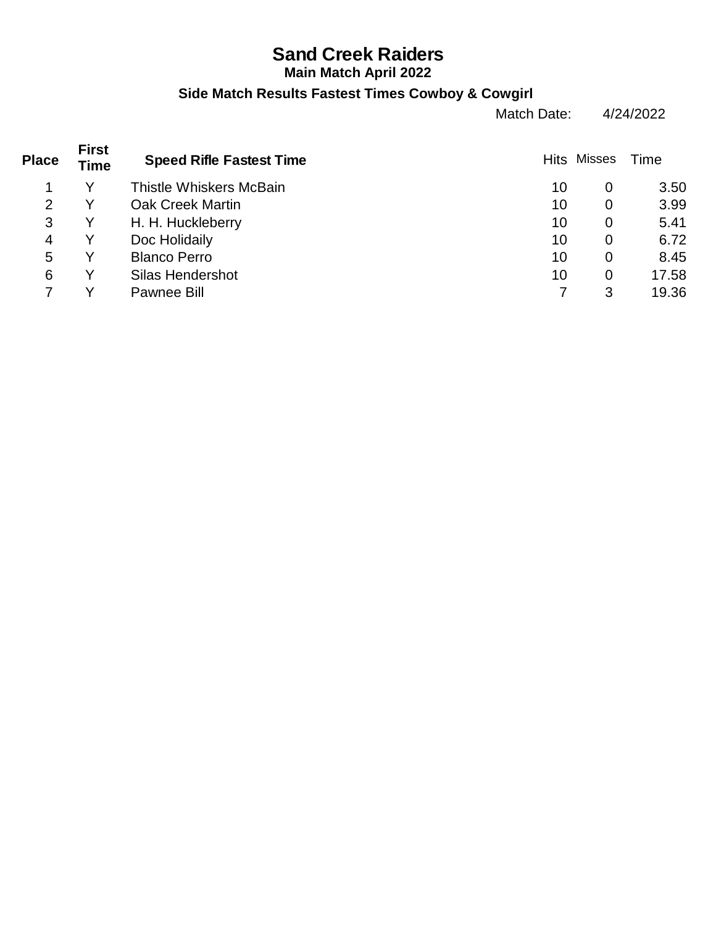# **Sand Creek Raiders**

#### **Main Match April 2022**

#### **Side Match Results Fastest Times Cowboy & Cowgirl**

Match Date: 4/24/2022

| <b>First</b><br>Time | <b>Speed Rifle Fastest Time</b> |    |                | Time               |
|----------------------|---------------------------------|----|----------------|--------------------|
|                      | <b>Thistle Whiskers McBain</b>  | 10 | 0              | 3.50               |
|                      | <b>Oak Creek Martin</b>         | 10 | 0              | 3.99               |
|                      | H. H. Huckleberry               | 10 | 0              | 5.41               |
|                      | Doc Holidaily                   | 10 | 0              | 6.72               |
|                      | <b>Blanco Perro</b>             | 10 | $\overline{0}$ | 8.45               |
|                      | <b>Silas Hendershot</b>         | 10 | $\overline{0}$ | 17.58              |
|                      | <b>Pawnee Bill</b>              |    | 3              | 19.36              |
|                      |                                 |    |                | <b>Hits Misses</b> |